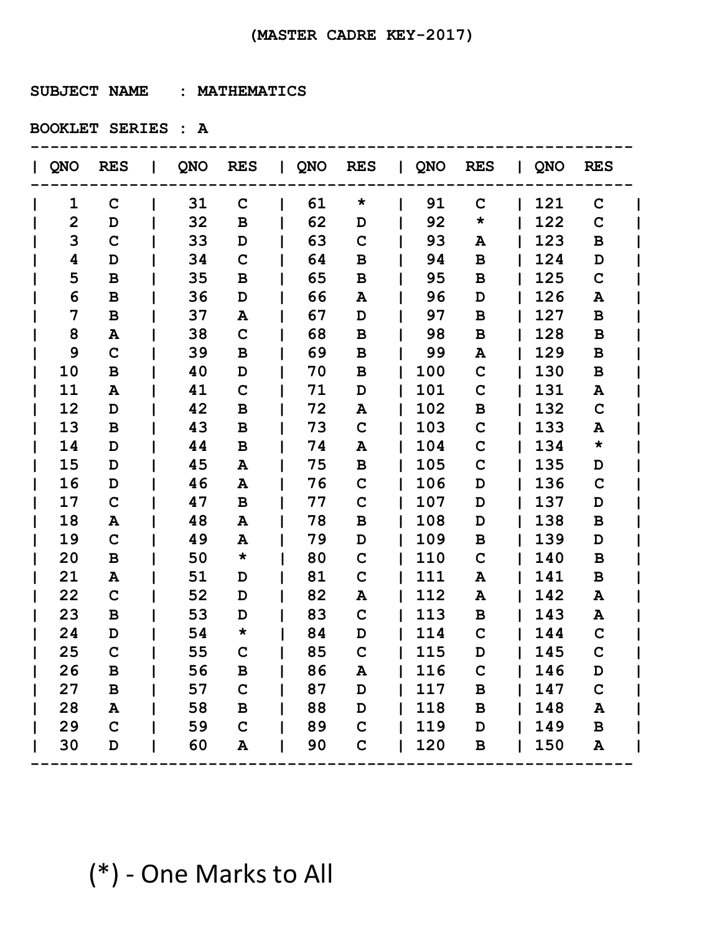**SUBJECT NAME : MATHEMATICS**

**BOOKLET SERIES : A**

| QNO            | <b>RES</b>      |    | QNO RES      | QNO RES |             | QNO RES |              | QNO | <b>RES</b>   |  |
|----------------|-----------------|----|--------------|---------|-------------|---------|--------------|-----|--------------|--|
| 1              | $\mathbf C$     | 31 | $\mathbf C$  | 61      | $\star$     | 91      | $\mathbf C$  | 121 | $\mathbf C$  |  |
| $\overline{2}$ | D               | 32 | B            | 62      | D           | 92      | $\star$      | 122 | $\mathbf C$  |  |
| 3              | $\mathbf C$     | 33 | D            | 63      | $\mathbf C$ | 93      | Α            | 123 | B            |  |
| 4              | D               | 34 | $\mathbf C$  | 64      | B           | 94      | $\mathbf B$  | 124 | D            |  |
| 5              | B               | 35 | B            | 65      | B           | 95      | B            | 125 | $\mathbf C$  |  |
| 6              | B               | 36 | D            | 66      | A           | 96      | D            | 126 | A            |  |
| 7              | B               | 37 | A            | 67      | D           | 97      | $\mathbf B$  | 127 | B            |  |
| 8              | A               | 38 | $\mathbf C$  | 68      | В           | 98      | B            | 128 | B            |  |
| 9              | $\mathbf C$     | 39 | B            | 69      | B           | 99      | A            | 129 | B            |  |
| 10             | B               | 40 | D            | 70      | B           | 100     | $\mathbf C$  | 130 | B            |  |
| 11             | A               | 41 | $\mathbf C$  | 71      | D           | 101     | $\mathbf C$  | 131 | A            |  |
| 12             | D               | 42 | В            | 72      | A           | 102     | $\, {\bf B}$ | 132 | $\mathbf C$  |  |
| 13             | B               | 43 | B            | 73      | $\mathbf C$ | 103     | $\mathbf C$  | 133 | A            |  |
| 14             | D               | 44 | B            | 74      | A           | 104     | $\mathbf C$  | 134 | $\star$      |  |
| 15             | D               | 45 | A            | 75      | B           | 105     | $\mathbf C$  | 135 | D            |  |
| 16             | D               | 46 | Α            | 76      | $\mathbf C$ | 106     | D            | 136 | $\mathbf C$  |  |
| 17             | $\mathbf C$     | 47 | B            | 77      | $\mathbf C$ | 107     | D            | 137 | D            |  |
| 18             | Α               | 48 | A            | 78      | B           | 108     | D            | 138 | B            |  |
| 19             | $\mathbf C$     | 49 | A            | 79      | D           | 109     | B            | 139 | D            |  |
| 20             | B               | 50 | $\star$      | 80      | $\mathbf C$ | 110     | $\mathbf C$  | 140 | B            |  |
| 21             | A               | 51 | D            | 81      | $\mathbf C$ | 111     | A            | 141 | B            |  |
| 22             | $\mathbf C$     | 52 | D            | 82      | Α           | 112     | Α            | 142 | A            |  |
| 23             | B               | 53 | D            | 83      | $\mathbf C$ | 113     | B            | 143 | A            |  |
| 24             | D               | 54 | $\star$      | 84      | D           | 114     | $\mathbf C$  | 144 | $\mathbf C$  |  |
| 25             | $\mathbf C$     | 55 | C            | 85      | $\mathbf C$ | 115     | D            | 145 | $\mathbf C$  |  |
| 26             | в               | 56 | B            | 86      | A           | 116     | $\mathbf C$  | 146 | D            |  |
| 27             | $\, {\bf B} \,$ | 57 | $\mathbf C$  | 87      | D           | 117     | $\, {\bf B}$ | 147 | $\mathbf C$  |  |
| 28             | A               | 58 | $\, {\bf B}$ | 88      | D           | 118     | $\, {\bf B}$ | 148 | ${\bf A}$    |  |
| 29             | $\mathbf C$     | 59 | $\mathbf C$  | 89      | $\mathbf C$ | 119     | $\mathbf D$  | 149 | $\, {\bf B}$ |  |
| 30             | $\mathbf D$     | 60 | A            | 90      | $\mathbf C$ | 120     | В            | 150 | A            |  |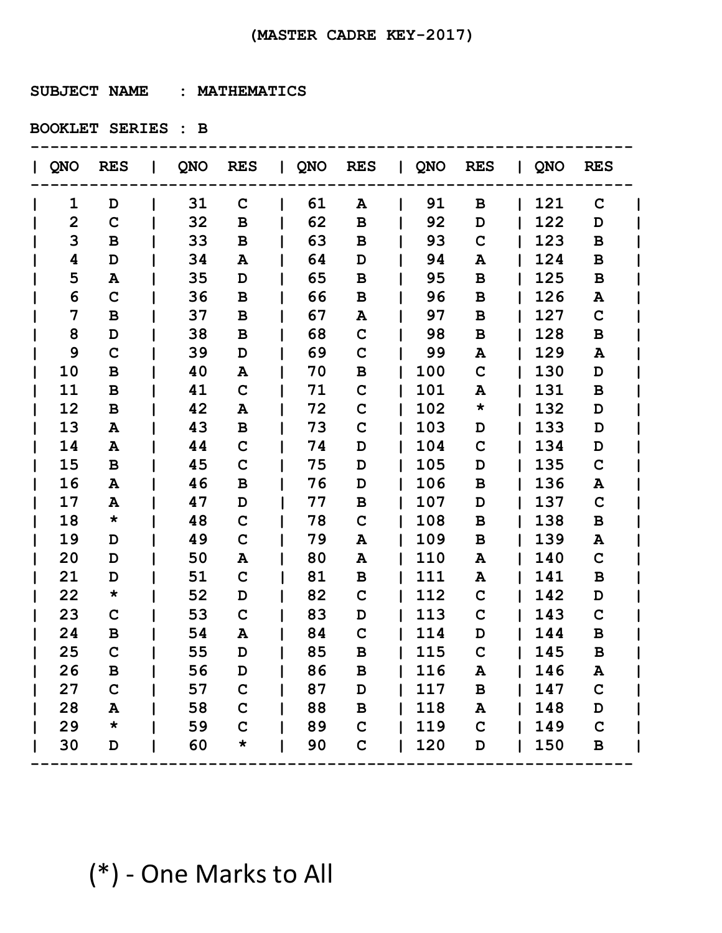**SUBJECT NAME : MATHEMATICS**

**BOOKLET SERIES : B**

| QNO          | <b>RES</b>  |    | QNO RES      | QNO RES |             | QNO RES |             | QNO | <b>RES</b>   |  |
|--------------|-------------|----|--------------|---------|-------------|---------|-------------|-----|--------------|--|
| 1            | D           | 31 | $\mathbf C$  | 61      | A           | 91      | B           | 121 | $\mathbf C$  |  |
| $\mathbf{2}$ | $\mathbf C$ | 32 | B            | 62      | B           | 92      | D           | 122 | D            |  |
| 3            | B           | 33 | В            | 63      | B           | 93      | $\mathbf C$ | 123 | B            |  |
| 4            | D           | 34 | A            | 64      | D           | 94      | Α           | 124 | B            |  |
| 5            | A           | 35 | D            | 65      | B           | 95      | $\mathbf B$ | 125 | B            |  |
| 6            | $\mathbf C$ | 36 | B            | 66      | B           | 96      | B           | 126 | A            |  |
| 7            | $\mathbf B$ | 37 | B            | 67      | A           | 97      | $\mathbf B$ | 127 | $\mathbf C$  |  |
| 8            | D           | 38 | В            | 68      | C           | 98      | B           | 128 | B            |  |
| 9            | $\mathbf C$ | 39 | D            | 69      | C           | 99      | Α           | 129 | A            |  |
| 10           | B           | 40 | A            | 70      | $\mathbf B$ | 100     | $\mathbf C$ | 130 | D            |  |
| 11           | B           | 41 | $\mathbf C$  | 71      | C           | 101     | A           | 131 | B            |  |
| 12           | B           | 42 | A            | 72      | $\mathbf C$ | 102     | $\star$     | 132 | D            |  |
| 13           | A           | 43 | $\, {\bf B}$ | 73      | $\mathbf C$ | 103     | D           | 133 | D            |  |
| 14           | A           | 44 | $\mathbf C$  | 74      | D           | 104     | $\mathbf C$ | 134 | D            |  |
| 15           | B           | 45 | $\mathbf C$  | 75      | D           | 105     | D           | 135 | $\mathbf C$  |  |
| 16           | A           | 46 | B            | 76      | D           | 106     | $\mathbf B$ | 136 | A            |  |
| 17           | A           | 47 | D            | 77      | B           | 107     | D           | 137 | $\mathbf C$  |  |
| 18           | $\star$     | 48 | $\mathbf C$  | 78      | $\mathbf C$ | 108     | B           | 138 | B            |  |
| 19           | D           | 49 | $\mathbf C$  | 79      | A           | 109     | B           | 139 | A            |  |
| 20           | D           | 50 | A            | 80      | A           | 110     | A           | 140 | $\mathbf C$  |  |
| 21           | D           | 51 | $\mathbf C$  | 81      | B           | 111     | A           | 141 | B            |  |
| 22           | *           | 52 | D            | 82      | $\mathbf C$ | 112     | $\mathbf C$ | 142 | D            |  |
| 23           | $\mathbf C$ | 53 | $\mathbf C$  | 83      | D           | 113     | $\mathbf C$ | 143 | $\mathbf C$  |  |
| 24           | В           | 54 | A            | 84      | $\mathbf C$ | 114     | D           | 144 | B            |  |
| 25           | $\mathbf C$ | 55 | D            | 85      | B           | 115     | $\mathbf C$ | 145 | B            |  |
| 26           | В           | 56 | D            | 86      | в           | 116     | A           | 146 | A            |  |
| 27           | $\mathbf C$ | 57 | $\mathbf C$  | 87      | D           | 117     | $\mathbf B$ | 147 | $\mathbf C$  |  |
| 28           | A           | 58 | $\mathbf C$  | 88      | B           | 118     | ${\bf A}$   | 148 | D            |  |
| 29           | $\star$     | 59 | $\mathbf C$  | 89      | $\mathbf C$ | 119     | $\mathbf C$ | 149 | $\mathbf C$  |  |
| 30           | D           | 60 | $\star$      | 90      | $\mathbf C$ | 120     | D           | 150 | $\, {\bf B}$ |  |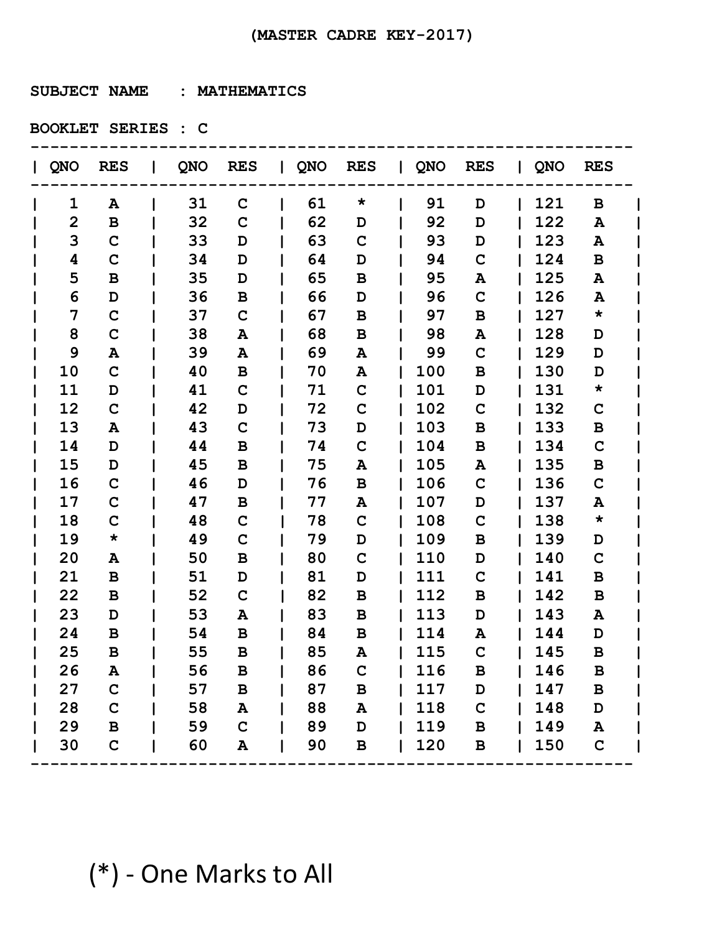**SUBJECT NAME : MATHEMATICS**

**BOOKLET SERIES : C**

| QNO            | <b>RES</b>  |    | QNO RES      | QNO RES |                 | QNO RES |              | QNO | <b>RES</b>  |  |
|----------------|-------------|----|--------------|---------|-----------------|---------|--------------|-----|-------------|--|
| 1              | A           | 31 | $\mathbf C$  | 61      | $\star$         | 91      | D            | 121 | B           |  |
| $\overline{2}$ | B           | 32 | C            | 62      | D               | 92      | D            | 122 | A           |  |
| 3              | $\mathbf C$ | 33 | D            | 63      | $\mathbf C$     | 93      | D            | 123 | A           |  |
| 4              | $\mathbf C$ | 34 | D            | 64      | D               | 94      | $\mathbf C$  | 124 | B           |  |
| 5              | B           | 35 | D            | 65      | B               | 95      | A            | 125 | A           |  |
| 6              | D           | 36 | B            | 66      | D               | 96      | $\mathbf C$  | 126 | A           |  |
| 7              | $\mathbf C$ | 37 | $\mathbf C$  | 67      | B               | 97      | $\mathbf B$  | 127 | $\star$     |  |
| 8              | $\mathbf C$ | 38 | A            | 68      | В               | 98      | Α            | 128 | D           |  |
| 9              | Α           | 39 | A            | 69      | A               | 99      | $\mathbf C$  | 129 | D           |  |
| 10             | $\mathbf C$ | 40 | B            | 70      | A               | 100     | $\, {\bf B}$ | 130 | D           |  |
| 11             | D           | 41 | $\mathbf C$  | 71      | $\mathbf C$     | 101     | D            | 131 | $\star$     |  |
| 12             | $\mathbf C$ | 42 | D            | 72      | $\mathbf C$     | 102     | $\mathbf C$  | 132 | C           |  |
| 13             | A           | 43 | $\mathbf C$  | 73      | D               | 103     | $\, {\bf B}$ | 133 | B           |  |
| 14             | D           | 44 | B            | 74      | $\mathbf C$     | 104     | B            | 134 | $\mathbf C$ |  |
| 15             | D           | 45 | B            | 75      | Α               | 105     | Α            | 135 | B           |  |
| 16             | $\mathbf C$ | 46 | D            | 76      | B               | 106     | $\mathbf C$  | 136 | $\mathbf C$ |  |
| 17             | $\mathbf C$ | 47 | B            | 77      | A               | 107     | D            | 137 | A           |  |
| 18             | $\mathbf C$ | 48 | $\mathbf C$  | 78      | $\mathbf C$     | 108     | $\mathbf C$  | 138 | $\star$     |  |
| 19             | $\star$     | 49 | $\mathbf C$  | 79      | D               | 109     | $\mathbf B$  | 139 | D           |  |
| 20             | A           | 50 | B            | 80      | $\mathbf C$     | 110     | D            | 140 | $\mathbf C$ |  |
| 21             | B           | 51 | D            | 81      | D               | 111     | $\mathbf C$  | 141 | B           |  |
| 22             | B           | 52 | $\mathbf C$  | 82      | B               | 112     | B            | 142 | B           |  |
| 23             | D           | 53 | A            | 83      | B               | 113     | D            | 143 | A           |  |
| 24             | B           | 54 | B            | 84      | B               | 114     | Α            | 144 | D           |  |
| 25             | B           | 55 | B            | 85      | A               | 115     | $\mathbf C$  | 145 | B           |  |
| 26             | A           | 56 | В            | 86      | C               | 116     | B            | 146 | B           |  |
| 27             | $\mathbf C$ | 57 | $\, {\bf B}$ | 87      | B               | 117     | D            | 147 | B           |  |
| 28             | $\mathbf C$ | 58 | A            | 88      | A               | 118     | $\mathbf C$  | 148 | D           |  |
| 29             | $\mathbf B$ | 59 | $\mathbf C$  | 89      | D               | 119     | $\, {\bf B}$ | 149 | ${\bf A}$   |  |
| 30             | $\mathbf C$ | 60 | A            | 90      | $\, {\bf B} \,$ | 120     | $\, {\bf B}$ | 150 | $\mathbf C$ |  |